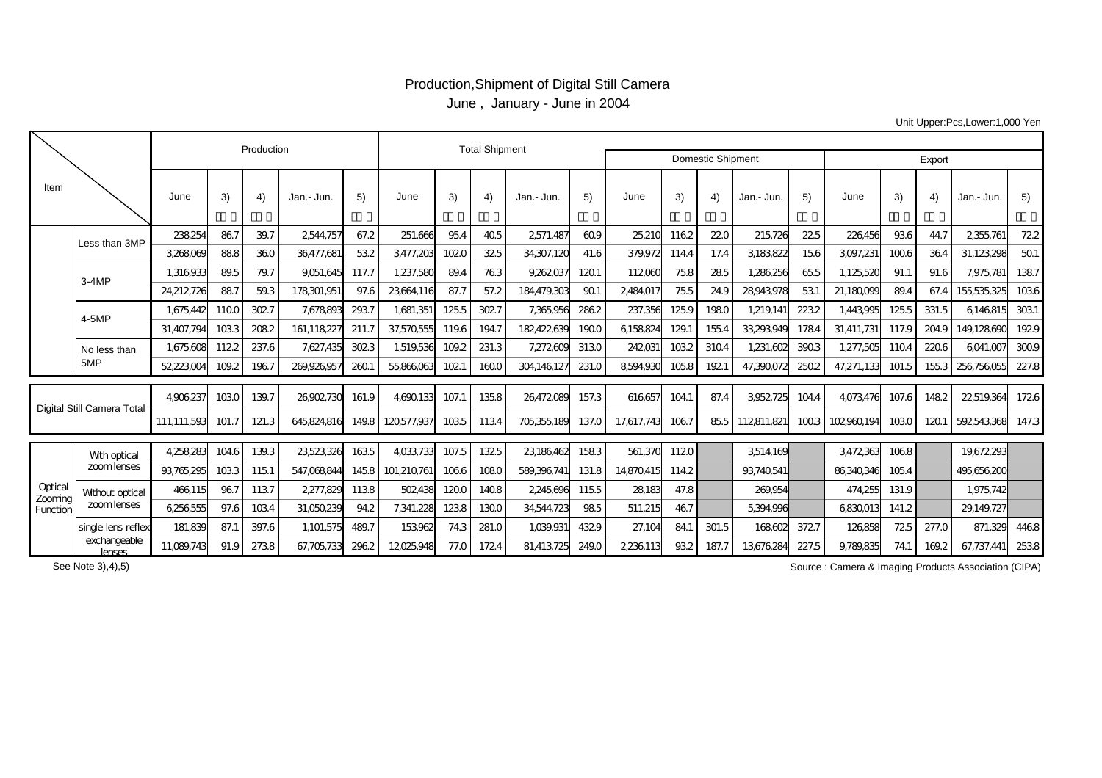## Production,Shipment of Digital Still Camera June , January - June in 2004

Unit Upper:Pcs,Lower:1,000 Yen

| <b>Domestic Shipment</b><br>Export<br>Item<br>June<br>3)<br>5)<br>June<br>June<br>3)<br>June<br>3)<br>5)<br>3)<br>4)<br>5)<br>4)<br>$\left( 4\right)$<br>4)<br>5)<br>Jan.- Jun.<br>Jan.- Jun.<br>Jan.- Jun.<br>Jan.- Jun.<br>86.7<br>39.7<br>238254<br>2544.757<br>67.2<br>251.666<br>954<br>40.5<br>60.9<br>25,21C<br>1162<br>220<br>215.726<br>22.5<br>226456<br>936<br>44.7<br>2355.761<br>2571.487<br>Less than 3MP<br>88.8<br>360<br>3183822<br>3268069<br>36,477,681<br>532<br>3477,203<br>1020<br>32.5<br>34,307,120<br>379,972<br>1144<br>3097,231<br>100.6<br>364<br>31,123,298<br>50.1<br>41.6<br>17.4<br>15.6<br>1387<br>1.316.933<br>89.5<br>79.7<br>117.7<br>1,237,580<br>89.4<br>763<br>9,262,037<br>1201<br>112060<br>75.8<br>285<br>1,286,256<br>65.5<br>1,125,520<br>7,975,781<br>9051,645<br>91.1<br>91.6<br>$3-4MP$<br>24,212,726<br>88.7<br>87.7<br>28943978<br>59.3<br>178301,951<br>97.6<br>23664116<br>57.2<br>184,479,303<br>90.1<br>2,484,017<br>75.5<br>24.9<br>53.1<br>21.180099<br>89.4<br>67.4<br>155,535,325<br>293.7<br>302.7<br>125.9<br>125.5<br>3031<br>1,675,442<br>1100<br>302.7<br>7,678,893<br>1,681,351<br>125.5<br>7,365,956<br>2862<br>237,356<br>1980<br>1,219,141<br>2232<br>1,443,995<br>331.5<br>6146815<br>$4-5MP$<br>1033<br>129.1<br>31.407.794<br>2082<br>161.118227<br>211.7<br>182422639<br>1900<br>6158824<br>155.4<br>33,293,949<br>1784<br>31,411,731<br>2049<br>149.128690<br>37,570,555<br>1196<br>1947<br>117.9<br>1122<br>7,627,435<br>302.3<br>109.2<br>231.3<br>7,272,609<br>3130<br>1032<br>1,231,602<br>1.675.608<br>237.6<br>1,519,536<br>242031<br>3104<br>3903<br>1,277,505<br>110.4<br>220.6<br>6041.007<br>No less than<br>5MP<br>1092<br>1967<br>260.1<br>231.0<br>52223004<br>269.926.957<br>55,866,063<br>1021<br>1600<br>304146127<br>8594930<br>1058<br>1921<br>47,390,072<br>250.2<br>47.271.133<br>1553<br>256756055<br>101.5<br>4906237<br>1030<br>139.7<br>26902730<br>1358<br>87.4<br>3952,725<br>1482<br>161.9<br>4690133<br>107.<br>26,472,089<br>157.3<br>616657<br>104.1<br>1044<br>4073476<br>22,519,364<br>107.6<br>Digital Still Camera Total<br>592543368<br>111.111.593<br>101.7<br>121.3<br>645824816<br>1035<br>1134<br>705355189<br>137.C<br>17.617.743<br>1067<br>112811.821<br>1003<br>102960.194<br>1030<br>120.1<br>149.8<br>120.577.937<br>85.5<br>4,258,283<br>139.3<br>23,523,326<br>1325<br>23186462<br>19,672,293<br>1046<br>1635<br>4033733<br>107.5<br>1583<br>561,370<br>1120<br>3514,169<br>3472363<br>1068<br>With optical<br>zoomlenses<br>93765295<br>1033<br>547.068844<br>1066<br>1080<br>589.396.741<br>86340346<br>495.656.200<br>1151<br>145.8<br>101.210.761<br>131.8<br>14870415<br>1142<br>93740541<br>105.4<br>Optical<br>96.7<br>1137<br>2,277.829<br>1138<br>1200<br>1408<br>47.8<br>466,115<br>502438<br>2245696<br>1155<br>28.183<br>269.954<br>474.255<br>131.9<br>1.975.742<br>Without optical<br>Zooming<br>zoom lenses<br>6256555<br>97.6<br>1034<br>31,050,239<br>1238<br>1300<br>985<br>46.7<br>942<br>7,341,228<br>34544723<br>511,215<br>5394996<br>683001<br>141.2<br>29.149.727<br>Function<br>489.7<br>181.839<br>87.1<br>397.6<br>153962<br>281.0<br>1,039,931<br>432.9<br>27,104<br>84.1<br>168602<br>372.7<br>126858<br>725<br>871.329<br>4468<br>single lens reflex<br>1,101,575<br>743<br>301.5<br>277.0 |  |              |            | Production |      | <b>Total Shipment</b> |      |          |      |      |            |       |           |     |       |          |       |           |     |       |            |       |
|------------------------------------------------------------------------------------------------------------------------------------------------------------------------------------------------------------------------------------------------------------------------------------------------------------------------------------------------------------------------------------------------------------------------------------------------------------------------------------------------------------------------------------------------------------------------------------------------------------------------------------------------------------------------------------------------------------------------------------------------------------------------------------------------------------------------------------------------------------------------------------------------------------------------------------------------------------------------------------------------------------------------------------------------------------------------------------------------------------------------------------------------------------------------------------------------------------------------------------------------------------------------------------------------------------------------------------------------------------------------------------------------------------------------------------------------------------------------------------------------------------------------------------------------------------------------------------------------------------------------------------------------------------------------------------------------------------------------------------------------------------------------------------------------------------------------------------------------------------------------------------------------------------------------------------------------------------------------------------------------------------------------------------------------------------------------------------------------------------------------------------------------------------------------------------------------------------------------------------------------------------------------------------------------------------------------------------------------------------------------------------------------------------------------------------------------------------------------------------------------------------------------------------------------------------------------------------------------------------------------------------------------------------------------------------------------------------------------------------------------------------------------------------------------------------------------------------------------------------------------------------------------------------------------------------------------------------------------------------------------------------------------------------------------------------------------------------------------------------------------------------------------------------------------------------------------------------------------------------------------------------------------------------------------------------------------------------------------|--|--------------|------------|------------|------|-----------------------|------|----------|------|------|------------|-------|-----------|-----|-------|----------|-------|-----------|-----|-------|------------|-------|
|                                                                                                                                                                                                                                                                                                                                                                                                                                                                                                                                                                                                                                                                                                                                                                                                                                                                                                                                                                                                                                                                                                                                                                                                                                                                                                                                                                                                                                                                                                                                                                                                                                                                                                                                                                                                                                                                                                                                                                                                                                                                                                                                                                                                                                                                                                                                                                                                                                                                                                                                                                                                                                                                                                                                                                                                                                                                                                                                                                                                                                                                                                                                                                                                                                                                                                                                                |  |              |            |            |      |                       |      |          |      |      |            |       |           |     |       |          |       |           |     |       |            |       |
|                                                                                                                                                                                                                                                                                                                                                                                                                                                                                                                                                                                                                                                                                                                                                                                                                                                                                                                                                                                                                                                                                                                                                                                                                                                                                                                                                                                                                                                                                                                                                                                                                                                                                                                                                                                                                                                                                                                                                                                                                                                                                                                                                                                                                                                                                                                                                                                                                                                                                                                                                                                                                                                                                                                                                                                                                                                                                                                                                                                                                                                                                                                                                                                                                                                                                                                                                |  |              |            |            |      |                       |      |          |      |      |            |       |           |     |       |          |       |           |     |       |            |       |
|                                                                                                                                                                                                                                                                                                                                                                                                                                                                                                                                                                                                                                                                                                                                                                                                                                                                                                                                                                                                                                                                                                                                                                                                                                                                                                                                                                                                                                                                                                                                                                                                                                                                                                                                                                                                                                                                                                                                                                                                                                                                                                                                                                                                                                                                                                                                                                                                                                                                                                                                                                                                                                                                                                                                                                                                                                                                                                                                                                                                                                                                                                                                                                                                                                                                                                                                                |  |              |            |            |      |                       |      |          |      |      |            |       |           |     |       |          |       |           |     |       |            | 722   |
|                                                                                                                                                                                                                                                                                                                                                                                                                                                                                                                                                                                                                                                                                                                                                                                                                                                                                                                                                                                                                                                                                                                                                                                                                                                                                                                                                                                                                                                                                                                                                                                                                                                                                                                                                                                                                                                                                                                                                                                                                                                                                                                                                                                                                                                                                                                                                                                                                                                                                                                                                                                                                                                                                                                                                                                                                                                                                                                                                                                                                                                                                                                                                                                                                                                                                                                                                |  |              |            |            |      |                       |      |          |      |      |            |       |           |     |       |          |       |           |     |       |            |       |
|                                                                                                                                                                                                                                                                                                                                                                                                                                                                                                                                                                                                                                                                                                                                                                                                                                                                                                                                                                                                                                                                                                                                                                                                                                                                                                                                                                                                                                                                                                                                                                                                                                                                                                                                                                                                                                                                                                                                                                                                                                                                                                                                                                                                                                                                                                                                                                                                                                                                                                                                                                                                                                                                                                                                                                                                                                                                                                                                                                                                                                                                                                                                                                                                                                                                                                                                                |  |              |            |            |      |                       |      |          |      |      |            |       |           |     |       |          |       |           |     |       |            |       |
|                                                                                                                                                                                                                                                                                                                                                                                                                                                                                                                                                                                                                                                                                                                                                                                                                                                                                                                                                                                                                                                                                                                                                                                                                                                                                                                                                                                                                                                                                                                                                                                                                                                                                                                                                                                                                                                                                                                                                                                                                                                                                                                                                                                                                                                                                                                                                                                                                                                                                                                                                                                                                                                                                                                                                                                                                                                                                                                                                                                                                                                                                                                                                                                                                                                                                                                                                |  |              |            |            |      |                       |      |          |      |      |            |       |           |     |       |          |       |           |     |       |            | 1036  |
|                                                                                                                                                                                                                                                                                                                                                                                                                                                                                                                                                                                                                                                                                                                                                                                                                                                                                                                                                                                                                                                                                                                                                                                                                                                                                                                                                                                                                                                                                                                                                                                                                                                                                                                                                                                                                                                                                                                                                                                                                                                                                                                                                                                                                                                                                                                                                                                                                                                                                                                                                                                                                                                                                                                                                                                                                                                                                                                                                                                                                                                                                                                                                                                                                                                                                                                                                |  |              |            |            |      |                       |      |          |      |      |            |       |           |     |       |          |       |           |     |       |            |       |
|                                                                                                                                                                                                                                                                                                                                                                                                                                                                                                                                                                                                                                                                                                                                                                                                                                                                                                                                                                                                                                                                                                                                                                                                                                                                                                                                                                                                                                                                                                                                                                                                                                                                                                                                                                                                                                                                                                                                                                                                                                                                                                                                                                                                                                                                                                                                                                                                                                                                                                                                                                                                                                                                                                                                                                                                                                                                                                                                                                                                                                                                                                                                                                                                                                                                                                                                                |  |              |            |            |      |                       |      |          |      |      |            |       |           |     |       |          |       |           |     |       |            | 1929  |
|                                                                                                                                                                                                                                                                                                                                                                                                                                                                                                                                                                                                                                                                                                                                                                                                                                                                                                                                                                                                                                                                                                                                                                                                                                                                                                                                                                                                                                                                                                                                                                                                                                                                                                                                                                                                                                                                                                                                                                                                                                                                                                                                                                                                                                                                                                                                                                                                                                                                                                                                                                                                                                                                                                                                                                                                                                                                                                                                                                                                                                                                                                                                                                                                                                                                                                                                                |  |              |            |            |      |                       |      |          |      |      |            |       |           |     |       |          |       |           |     |       |            | 3009  |
|                                                                                                                                                                                                                                                                                                                                                                                                                                                                                                                                                                                                                                                                                                                                                                                                                                                                                                                                                                                                                                                                                                                                                                                                                                                                                                                                                                                                                                                                                                                                                                                                                                                                                                                                                                                                                                                                                                                                                                                                                                                                                                                                                                                                                                                                                                                                                                                                                                                                                                                                                                                                                                                                                                                                                                                                                                                                                                                                                                                                                                                                                                                                                                                                                                                                                                                                                |  |              |            |            |      |                       |      |          |      |      |            |       |           |     |       |          |       |           |     |       |            | 227.8 |
|                                                                                                                                                                                                                                                                                                                                                                                                                                                                                                                                                                                                                                                                                                                                                                                                                                                                                                                                                                                                                                                                                                                                                                                                                                                                                                                                                                                                                                                                                                                                                                                                                                                                                                                                                                                                                                                                                                                                                                                                                                                                                                                                                                                                                                                                                                                                                                                                                                                                                                                                                                                                                                                                                                                                                                                                                                                                                                                                                                                                                                                                                                                                                                                                                                                                                                                                                |  |              |            |            |      |                       |      |          |      |      |            |       |           |     |       |          |       |           |     |       |            | 1726  |
|                                                                                                                                                                                                                                                                                                                                                                                                                                                                                                                                                                                                                                                                                                                                                                                                                                                                                                                                                                                                                                                                                                                                                                                                                                                                                                                                                                                                                                                                                                                                                                                                                                                                                                                                                                                                                                                                                                                                                                                                                                                                                                                                                                                                                                                                                                                                                                                                                                                                                                                                                                                                                                                                                                                                                                                                                                                                                                                                                                                                                                                                                                                                                                                                                                                                                                                                                |  |              |            |            |      |                       |      |          |      |      |            |       |           |     |       |          |       |           |     |       |            | 147.3 |
|                                                                                                                                                                                                                                                                                                                                                                                                                                                                                                                                                                                                                                                                                                                                                                                                                                                                                                                                                                                                                                                                                                                                                                                                                                                                                                                                                                                                                                                                                                                                                                                                                                                                                                                                                                                                                                                                                                                                                                                                                                                                                                                                                                                                                                                                                                                                                                                                                                                                                                                                                                                                                                                                                                                                                                                                                                                                                                                                                                                                                                                                                                                                                                                                                                                                                                                                                |  |              |            |            |      |                       |      |          |      |      |            |       |           |     |       |          |       |           |     |       |            |       |
|                                                                                                                                                                                                                                                                                                                                                                                                                                                                                                                                                                                                                                                                                                                                                                                                                                                                                                                                                                                                                                                                                                                                                                                                                                                                                                                                                                                                                                                                                                                                                                                                                                                                                                                                                                                                                                                                                                                                                                                                                                                                                                                                                                                                                                                                                                                                                                                                                                                                                                                                                                                                                                                                                                                                                                                                                                                                                                                                                                                                                                                                                                                                                                                                                                                                                                                                                |  |              |            |            |      |                       |      |          |      |      |            |       |           |     |       |          |       |           |     |       |            |       |
|                                                                                                                                                                                                                                                                                                                                                                                                                                                                                                                                                                                                                                                                                                                                                                                                                                                                                                                                                                                                                                                                                                                                                                                                                                                                                                                                                                                                                                                                                                                                                                                                                                                                                                                                                                                                                                                                                                                                                                                                                                                                                                                                                                                                                                                                                                                                                                                                                                                                                                                                                                                                                                                                                                                                                                                                                                                                                                                                                                                                                                                                                                                                                                                                                                                                                                                                                |  |              |            |            |      |                       |      |          |      |      |            |       |           |     |       |          |       |           |     |       |            |       |
|                                                                                                                                                                                                                                                                                                                                                                                                                                                                                                                                                                                                                                                                                                                                                                                                                                                                                                                                                                                                                                                                                                                                                                                                                                                                                                                                                                                                                                                                                                                                                                                                                                                                                                                                                                                                                                                                                                                                                                                                                                                                                                                                                                                                                                                                                                                                                                                                                                                                                                                                                                                                                                                                                                                                                                                                                                                                                                                                                                                                                                                                                                                                                                                                                                                                                                                                                |  |              |            |            |      |                       |      |          |      |      |            |       |           |     |       |          |       |           |     |       |            |       |
|                                                                                                                                                                                                                                                                                                                                                                                                                                                                                                                                                                                                                                                                                                                                                                                                                                                                                                                                                                                                                                                                                                                                                                                                                                                                                                                                                                                                                                                                                                                                                                                                                                                                                                                                                                                                                                                                                                                                                                                                                                                                                                                                                                                                                                                                                                                                                                                                                                                                                                                                                                                                                                                                                                                                                                                                                                                                                                                                                                                                                                                                                                                                                                                                                                                                                                                                                |  |              |            |            |      |                       |      |          |      |      |            |       |           |     |       |          |       |           |     |       |            |       |
| lenses                                                                                                                                                                                                                                                                                                                                                                                                                                                                                                                                                                                                                                                                                                                                                                                                                                                                                                                                                                                                                                                                                                                                                                                                                                                                                                                                                                                                                                                                                                                                                                                                                                                                                                                                                                                                                                                                                                                                                                                                                                                                                                                                                                                                                                                                                                                                                                                                                                                                                                                                                                                                                                                                                                                                                                                                                                                                                                                                                                                                                                                                                                                                                                                                                                                                                                                                         |  | exchangeable | 11.089.743 | 91.9       | 2738 | 67.705.733            | 2962 | 12025948 | 77.0 | 1724 | 81,413,725 | 249.0 | 2,236,113 | 932 | 187.7 | 13676284 | 227.5 | 9.789.835 | 741 | 169.2 | 67.737.441 | 2538  |

Source : Camera & Imaging Products Association (CIPA)

See Note 3),4),5)